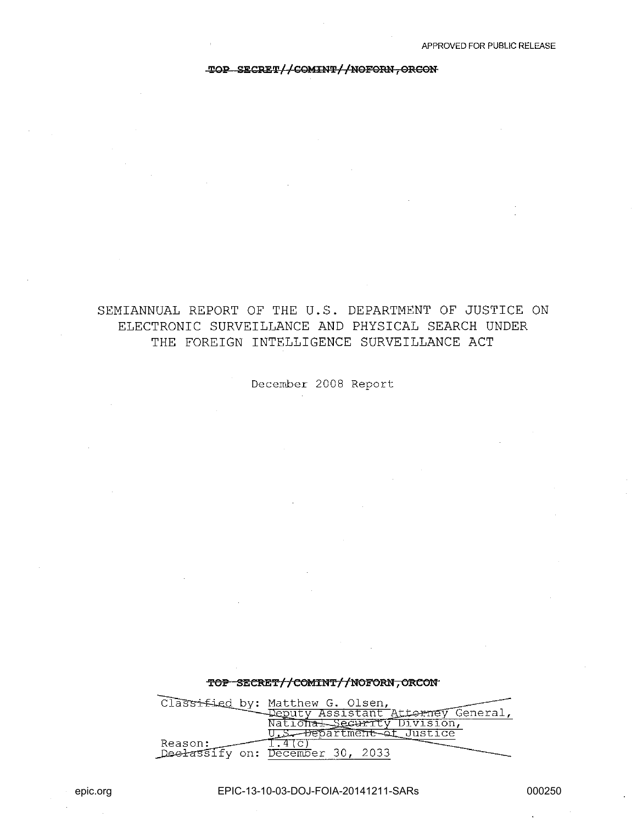#### TOP SECRET//COMINT//NOFORN, ORCON

## SEMIANNUAL REPORT OF THE U.S. DEPARTMENT OF JUSTICE ON ELECTRONIC SURVEILLANCE AND PHYSICAL SEARCH UNDER THE FOREIGN INTELLIGENCE SURVEILLANCE ACT

December 2008 Report

# TOP SECRET//COMINT//NOFORN, ORCON Classified by: Matthew G. Olsen,<br>Deputy Assistant Attorney General,<br>National Security Division,<br>U.S. Pepartment of Justice  $1.4($ c) Reason: Deelassify on: December 30, 2033

EPIC-13-10-03-DOJ-FOIA-20141211-SARs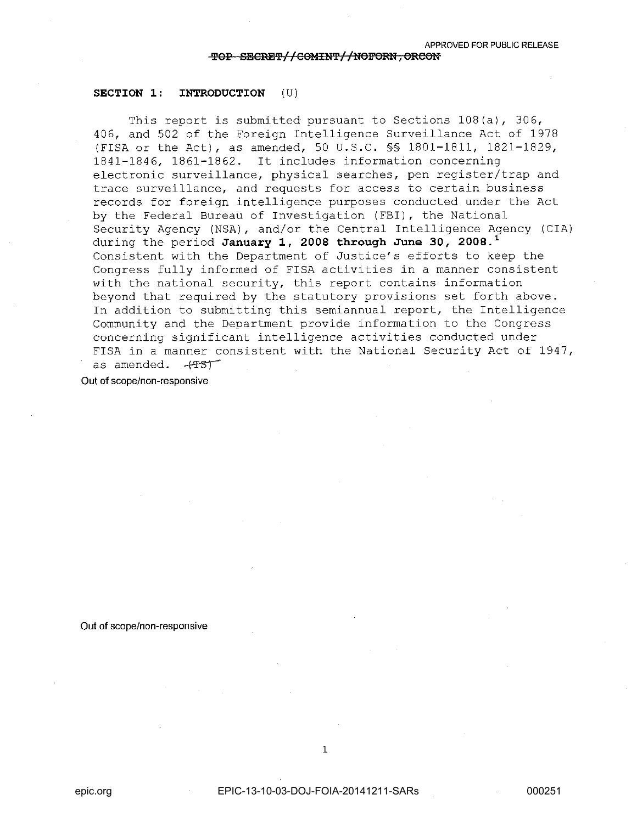#### SECTION 1: INTRODUCTION (U)

This report is submitted pursuant to Sections 108(a), 306, 406, and 502 of the Foreign Intelligence Surveillance Act of 1978 (FISA or the Act), as amended, 50 U.S.C. §§ 1801-1811, 1821-1829, 1841-1846, 1861-1862. It includes information concerning electronic surveillance, physical searches, pen register/trap and trace surveillance, and requests for access to certain business records for foreign intelligence purposes conducted under the Act by the Federal Bureau of Investigation (FBI), the National Security Agency (NSA) , and/or the Central Intelligence Agency (CIA) during the period January 1, 2008 through June 30, 2008.<sup>1</sup> Consistent with the Department of Justice's efforts to keep the Congress fully informed of FISA activities in a manner consistent with the national security, this report contains information beyond that required by the statutory provisions set forth above. In addition to submitting this semiannual report, the Intelligence Community and the Department provide information to the Congress concerning significant intelligence activities conducted under eshedrhing sightlicant incertigence accruities conducted and the FISA in a manner consistent with the National Security Act of 1947, as amended.  $-4757$ 

Out of scope/non·responsive

#### Out of scope/non-responsive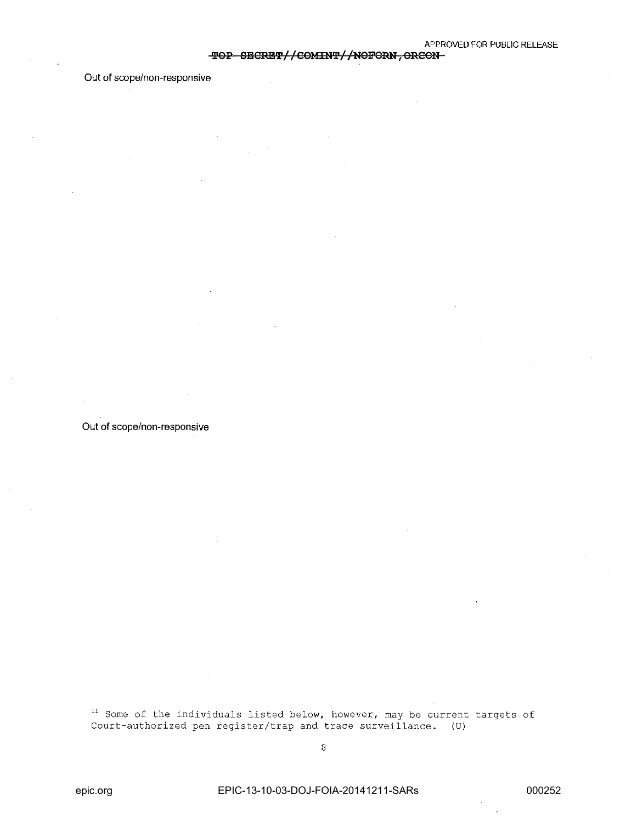#### TOP SECRET//COMINT//NOFORN, ORCON-

### Out of scope/non-responsive

Out of scope/non-responsive

<sup>11</sup> Some of the individuals listed below, however, may be current targets of Court-authorized pen register/trap and trace surveillance. (U)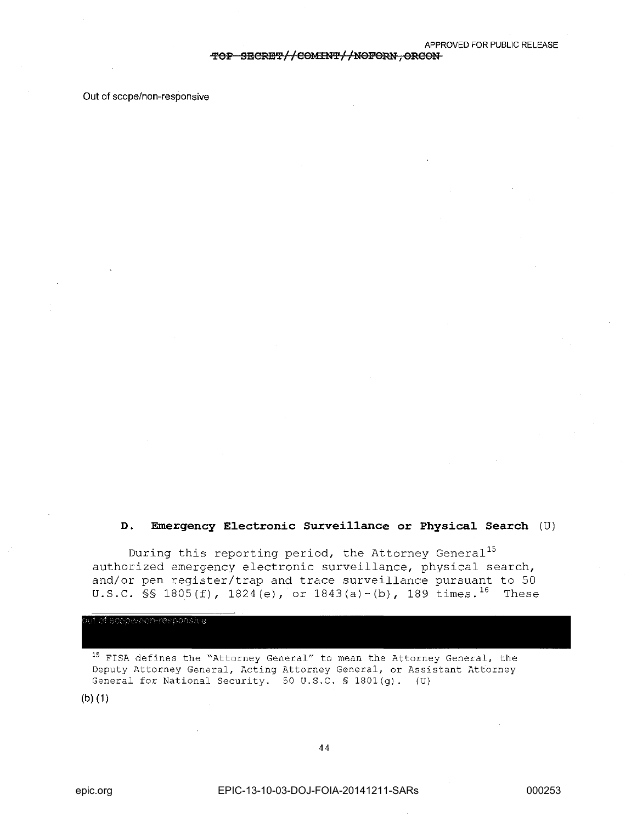~Ol? S'ElCRE~//COMIN~//NOFoml, **ORCON** 

Out of scope/non-responsive

### **D. Emergency E1ectronic Survei11ance or Physica1 Search** (U)

During this reporting period, the Attorney General<sup>15</sup> authorized emergency electronic surveillance, physical search, and/or pen register/trap and trace surveillance pursuant to 50 U.S.C. §§ 1805(f),  $1824(e)$ , or  $1843(a)-(b)$ , 189 times.<sup>16</sup> These

ut of scope/non-responsive

<sup>15</sup>**FISA defines the "Attorney General" to mean the Attorney General, the Deputy Attorney General, Acting Attorney General, or Assistant Attorney**  General for National Security. 50 U.S.C. \$ 1801(g). (U)

(b)(1)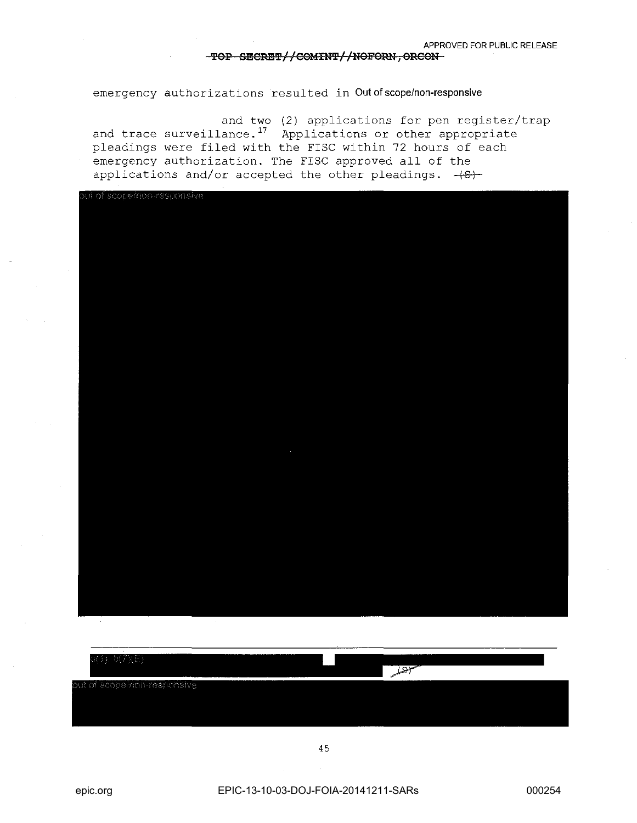#### **TOP SECRET//COMINT//NOFORN, ORCON**

emergency authorizations resulted in Out of scope/non-responsive

and two (2) applications for pen register/trap and trace surveillance.<sup>17</sup> Applications or other appropriate pleadings were filed with the FISC within 72 hours of each emergency authorization. The FISC approved all of the applications and/or accepted the other pleadings.  $+8$ )



| $10(7)$ (E)                 |  | <b>JAPA</b> |  |
|-----------------------------|--|-------------|--|
| out of scope/non-responsive |  |             |  |
|                             |  |             |  |
|                             |  |             |  |

45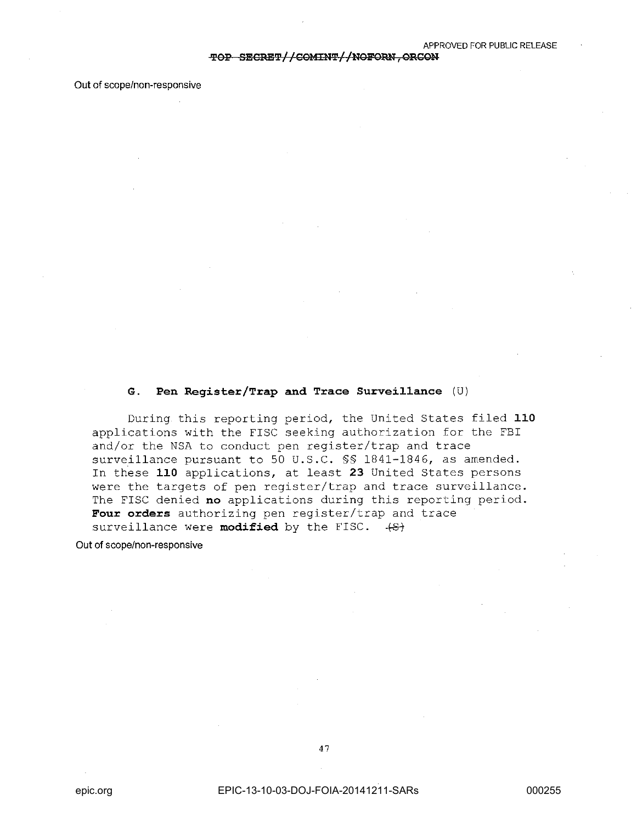Out of scope/non-responsive

### **G. Pen Register/Trap and Trace Surveillance** (U)

During this reporting period, the United States filed **110**  applications with the FISC seeking authorization for the FBI and/or the NSA to conduct pen register/trap and trace surveillance pursuant to 50 U.S.C. §§ 1841-1846, as amended. In these **110** applications, at least **23** United States persons were the targets of pen register/trap and trace surveillance. The FISC denied **no** applications during this reporting period. **Four orders** authorizing pen register/trap and trace surveillance were **modified** by the FISC.  $+S$ 

Out of scope/non-responsive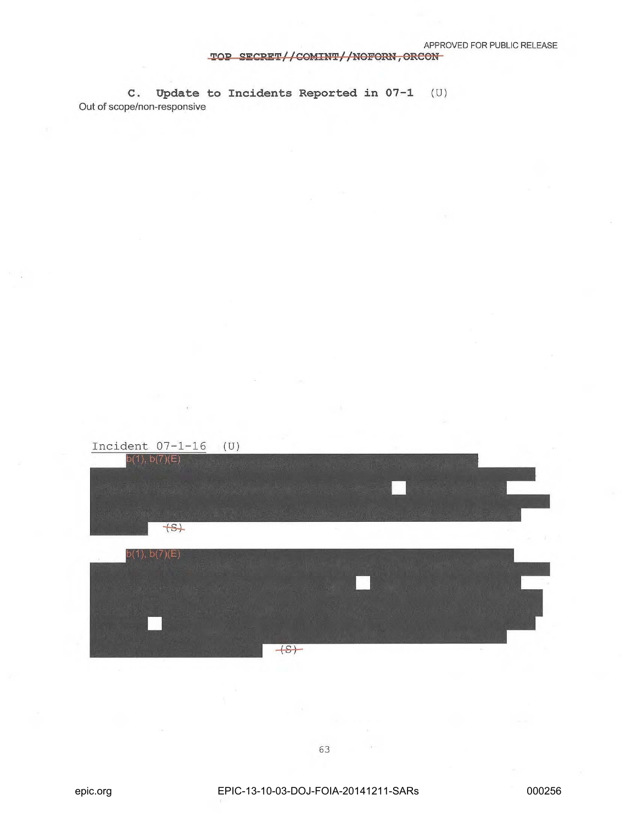## TOP SECRET//COMINT//NOFORN, ORCON

C. **Update to Incidents Reported in 07-1** (U) Out of scope/non-responsive

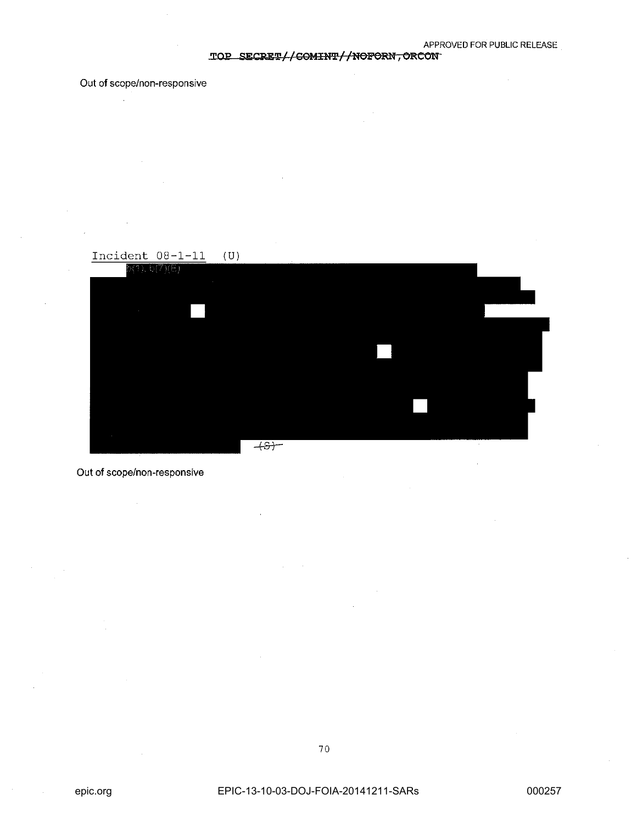## TOP SECRET//<del>COMINT//NOFORN, ORCON</del>

## **Out of** scope/non-responsive

 $\mathcal{L}_{\mathrm{in}}$ 



## **Out of** scope/non-responsive

70